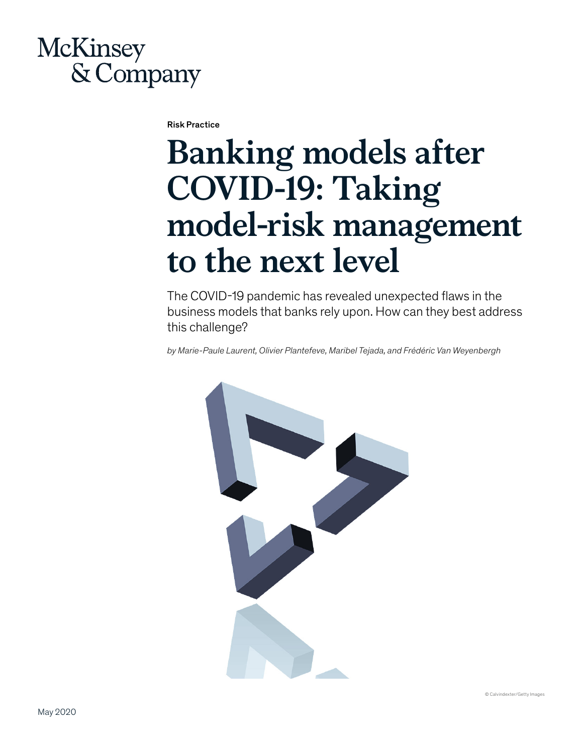## **McKinsey** & Company

Risk Practice

# **Banking models after COVID-19: Taking model-risk management to the next level**

The COVID-19 pandemic has revealed unexpected flaws in the business models that banks rely upon. How can they best address this challenge?

*by Marie-Paule Laurent, Olivier Plantefeve, Maribel Tejada, and Frédéric Van Weyenbergh*



© Calvindexter/Getty Images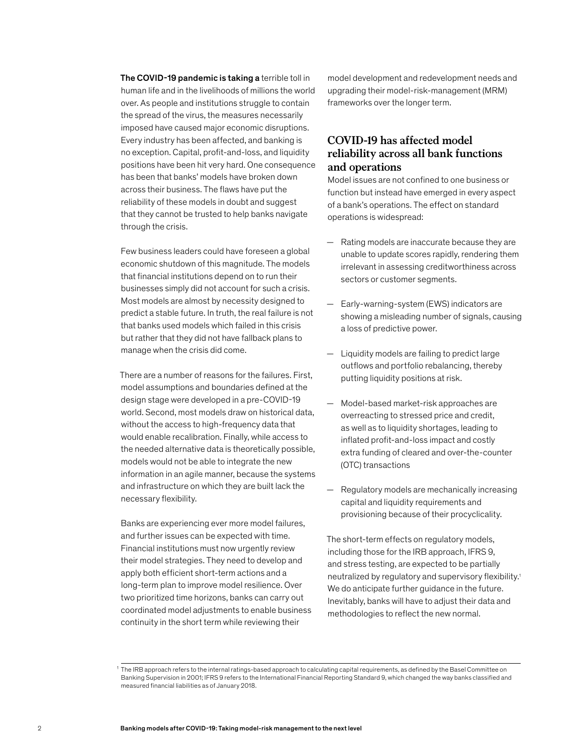The COVID-19 pandemic is taking a terrible toll in human life and in the livelihoods of millions the world over. As people and institutions struggle to contain the spread of the virus, the measures necessarily imposed have caused major economic disruptions. Every industry has been affected, and banking is no exception. Capital, profit-and-loss, and liquidity positions have been hit very hard. One consequence has been that banks' models have broken down across their business. The flaws have put the reliability of these models in doubt and suggest that they cannot be trusted to help banks navigate through the crisis.

Few business leaders could have foreseen a global economic shutdown of this magnitude. The models that financial institutions depend on to run their businesses simply did not account for such a crisis. Most models are almost by necessity designed to predict a stable future. In truth, the real failure is not that banks used models which failed in this crisis but rather that they did not have fallback plans to manage when the crisis did come.

There are a number of reasons for the failures. First, model assumptions and boundaries defined at the design stage were developed in a pre-COVID-19 world. Second, most models draw on historical data, without the access to high-frequency data that would enable recalibration. Finally, while access to the needed alternative data is theoretically possible, models would not be able to integrate the new information in an agile manner, because the systems and infrastructure on which they are built lack the necessary flexibility.

Banks are experiencing ever more model failures, and further issues can be expected with time. Financial institutions must now urgently review their model strategies. They need to develop and apply both efficient short-term actions and a long-term plan to improve model resilience. Over two prioritized time horizons, banks can carry out coordinated model adjustments to enable business continuity in the short term while reviewing their

model development and redevelopment needs and upgrading their model-risk-management (MRM) frameworks over the longer term.

#### **COVID-19 has affected model reliability across all bank functions and operations**

Model issues are not confined to one business or function but instead have emerged in every aspect of a bank's operations. The effect on standard operations is widespread:

- Rating models are inaccurate because they are unable to update scores rapidly, rendering them irrelevant in assessing creditworthiness across sectors or customer segments.
- Early-warning-system (EWS) indicators are showing a misleading number of signals, causing a loss of predictive power.
- Liquidity models are failing to predict large outflows and portfolio rebalancing, thereby putting liquidity positions at risk.
- Model-based market-risk approaches are overreacting to stressed price and credit, as well as to liquidity shortages, leading to inflated profit-and-loss impact and costly extra funding of cleared and over-the-counter (OTC) transactions
- Regulatory models are mechanically increasing capital and liquidity requirements and provisioning because of their procyclicality.

The short-term effects on regulatory models, including those for the IRB approach, IFRS 9, and stress testing, are expected to be partially neutralized by regulatory and supervisory flexibility.1 We do anticipate further guidance in the future. Inevitably, banks will have to adjust their data and methodologies to reflect the new normal.

<sup>1</sup> The IRB approach refers to the internal ratings-based approach to calculating capital requirements, as defined by the Basel Committee on Banking Supervision in 2001; IFRS 9 refers to the International Financial Reporting Standard 9, which changed the way banks classified and measured financial liabilities as of January 2018.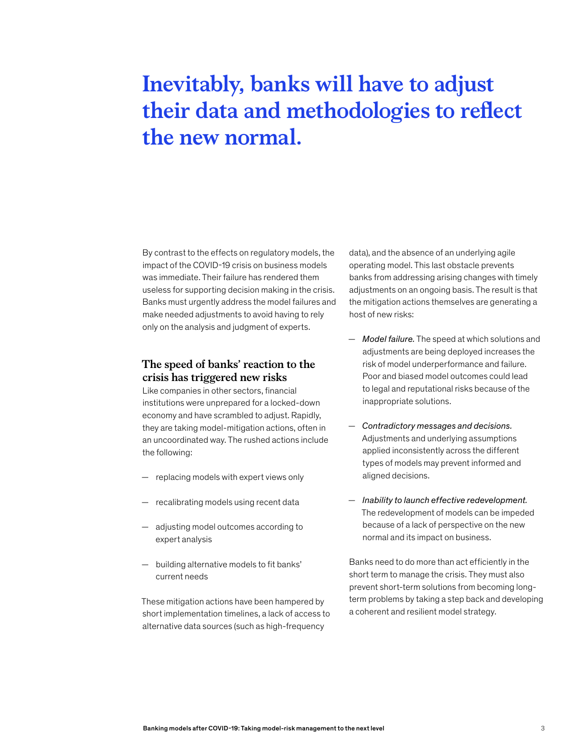### **Inevitably, banks will have to adjust their data and methodologies to reflect the new normal.**

By contrast to the effects on regulatory models, the impact of the COVID-19 crisis on business models was immediate. Their failure has rendered them useless for supporting decision making in the crisis. Banks must urgently address the model failures and make needed adjustments to avoid having to rely only on the analysis and judgment of experts.

#### **The speed of banks' reaction to the crisis has triggered new risks**

Like companies in other sectors, financial institutions were unprepared for a locked-down economy and have scrambled to adjust. Rapidly, they are taking model-mitigation actions, often in an uncoordinated way. The rushed actions include the following:

- replacing models with expert views only
- recalibrating models using recent data
- adjusting model outcomes according to expert analysis
- building alternative models to fit banks' current needs

These mitigation actions have been hampered by short implementation timelines, a lack of access to alternative data sources (such as high-frequency

data), and the absence of an underlying agile operating model. This last obstacle prevents banks from addressing arising changes with timely adjustments on an ongoing basis. The result is that the mitigation actions themselves are generating a host of new risks:

- *Model failure.* The speed at which solutions and adjustments are being deployed increases the risk of model underperformance and failure. Poor and biased model outcomes could lead to legal and reputational risks because of the inappropriate solutions.
- *Contradictory messages and decisions.* Adjustments and underlying assumptions applied inconsistently across the different types of models may prevent informed and aligned decisions.
- *Inability to launch effective redevelopment.*  The redevelopment of models can be impeded because of a lack of perspective on the new normal and its impact on business.

Banks need to do more than act efficiently in the short term to manage the crisis. They must also prevent short-term solutions from becoming longterm problems by taking a step back and developing a coherent and resilient model strategy.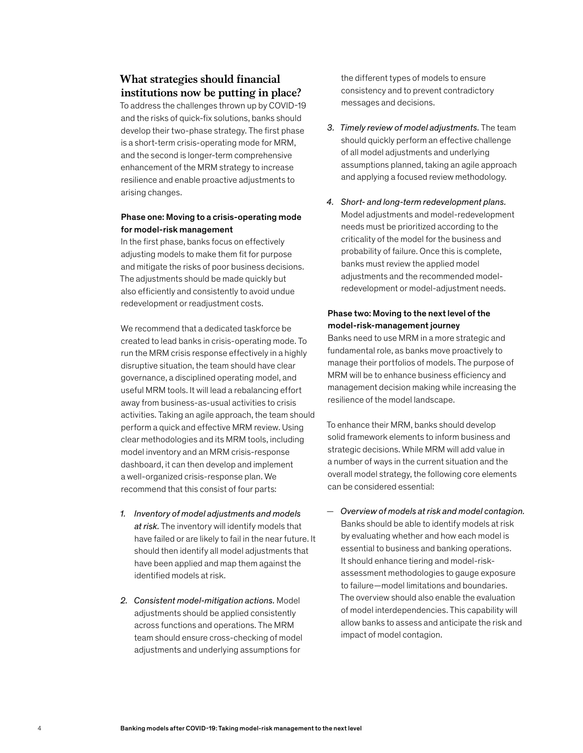#### **What strategies should financial institutions now be putting in place?**

To address the challenges thrown up by COVID-19 and the risks of quick-fix solutions, banks should develop their two-phase strategy. The first phase is a short-term crisis-operating mode for MRM, and the second is longer-term comprehensive enhancement of the MRM strategy to increase resilience and enable proactive adjustments to arising changes.

#### Phase one: Moving to a crisis-operating mode for model-risk management

In the first phase, banks focus on effectively adjusting models to make them fit for purpose and mitigate the risks of poor business decisions. The adjustments should be made quickly but also efficiently and consistently to avoid undue redevelopment or readjustment costs.

We recommend that a dedicated taskforce be created to lead banks in crisis-operating mode. To run the MRM crisis response effectively in a highly disruptive situation, the team should have clear governance, a disciplined operating model, and useful MRM tools. It will lead a rebalancing effort away from business-as-usual activities to crisis activities. Taking an agile approach, the team should perform a quick and effective MRM review. Using clear methodologies and its MRM tools, including model inventory and an MRM crisis-response dashboard, it can then develop and implement a well-organized crisis-response plan. We recommend that this consist of four parts:

- *1. Inventory of model adjustments and models at risk.* The inventory will identify models that have failed or are likely to fail in the near future. It should then identify all model adjustments that have been applied and map them against the identified models at risk.
- *2. Consistent model-mitigation actions.* Model adjustments should be applied consistently across functions and operations. The MRM team should ensure cross-checking of model adjustments and underlying assumptions for

the different types of models to ensure consistency and to prevent contradictory messages and decisions.

- *3. Timely review of model adjustments.* The team should quickly perform an effective challenge of all model adjustments and underlying assumptions planned, taking an agile approach and applying a focused review methodology.
- *4. Short- and long-term redevelopment plans.*  Model adjustments and model-redevelopment needs must be prioritized according to the criticality of the model for the business and probability of failure. Once this is complete, banks must review the applied model adjustments and the recommended modelredevelopment or model-adjustment needs.

#### Phase two: Moving to the next level of the model-risk-management journey

Banks need to use MRM in a more strategic and fundamental role, as banks move proactively to manage their portfolios of models. The purpose of MRM will be to enhance business efficiency and management decision making while increasing the resilience of the model landscape.

To enhance their MRM, banks should develop solid framework elements to inform business and strategic decisions. While MRM will add value in a number of ways in the current situation and the overall model strategy, the following core elements can be considered essential:

— *Overview of models at risk and model contagion.*  Banks should be able to identify models at risk by evaluating whether and how each model is essential to business and banking operations. It should enhance tiering and model-riskassessment methodologies to gauge exposure to failure—model limitations and boundaries. The overview should also enable the evaluation of model interdependencies. This capability will allow banks to assess and anticipate the risk and impact of model contagion.